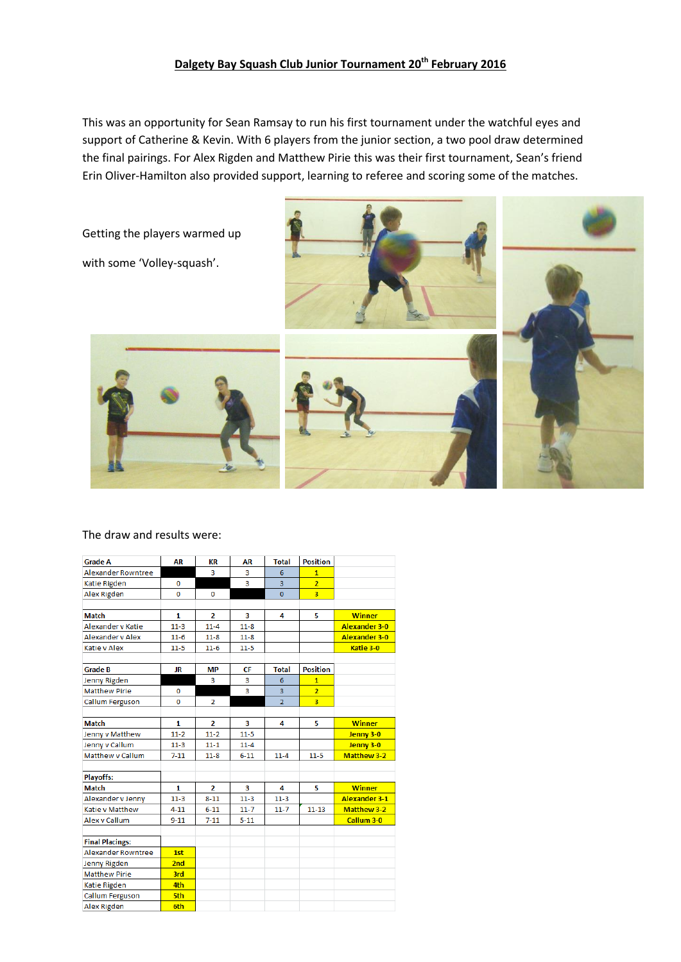## **Dalgety Bay Squash Club Junior Tournament 20th February 2016**

This was an opportunity for Sean Ramsay to run his first tournament under the watchful eyes and support of Catherine & Kevin. With 6 players from the junior section, a two pool draw determined the final pairings. For Alex Rigden and Matthew Pirie this was their first tournament, Sean's friend Erin Oliver-Hamilton also provided support, learning to referee and scoring some of the matches.



## The draw and results were:

| <b>Grade A</b>            | AR           | <b>KR</b>      | AR        | <b>Total</b>   | <b>Position</b>         |                      |
|---------------------------|--------------|----------------|-----------|----------------|-------------------------|----------------------|
| <b>Alexander Rowntree</b> |              | $\overline{3}$ | 3         | 6              | $\mathbf{1}$            |                      |
| Katie Rigden              | 0            |                | 3         | 3              | $\overline{2}$          |                      |
| <b>Alex Rigden</b>        | $\mathbf{0}$ | 0              |           | $\mathbf{0}$   | 3                       |                      |
|                           |              |                |           |                |                         |                      |
| <b>Match</b>              | $\mathbf{1}$ | $\overline{2}$ | 3         | 4              | 5                       | <b>Winner</b>        |
| Alexander v Katie         | $11 - 3$     | $11 - 4$       | $11 - 8$  |                |                         | <b>Alexander 3-0</b> |
| <b>Alexander v Alex</b>   | $11-6$       | $11 - 8$       | $11 - 8$  |                |                         | <b>Alexander 3-0</b> |
| Katie v Alex              | $11 - 5$     | $11-6$         | $11 - 5$  |                |                         | Katie 3-0            |
|                           |              |                |           |                |                         |                      |
| <b>Grade B</b>            | JR           | <b>MP</b>      | <b>CF</b> | <b>Total</b>   | <b>Position</b>         |                      |
| Jenny Rigden              |              | 3              | 3         | 6              | $\overline{1}$          |                      |
| <b>Matthew Pirie</b>      | 0            |                | 3         | $\overline{3}$ | $\overline{2}$          |                      |
| Callum Ferguson           | 0            | $\overline{2}$ |           | $\overline{2}$ | $\overline{\mathbf{3}}$ |                      |
|                           |              |                |           |                |                         |                      |
| <b>Match</b>              | 1            | $\overline{2}$ | 3         | 4              | 5                       | <b>Winner</b>        |
| Jenny v Matthew           | $11 - 2$     | $11 - 2$       | $11-5$    |                |                         | Jenny 3-0            |
| Jenny v Callum            | $11 - 3$     | $11 - 1$       | $11 - 4$  |                |                         | Jenny 3-0            |
| Matthew y Callum          | $7 - 11$     | $11 - 8$       | $6 - 11$  | $11 - 4$       | $11 - 5$                | <b>Matthew 3-2</b>   |
|                           |              |                |           |                |                         |                      |
| <b>Playoffs:</b>          |              |                |           |                |                         |                      |
| <b>Match</b>              | $\mathbf{1}$ | $\overline{2}$ | 3         | 4              | 5                       | <b>Winner</b>        |
| Alexander v Jenny         | $11 - 3$     | $8 - 11$       | $11 - 3$  | $11-3$         |                         | <b>Alexander 3-1</b> |
| Katie v Matthew           | $4 - 11$     | $6 - 11$       | $11 - 7$  | $11 - 7$       | $11 - 13$               | <b>Matthew 3-2</b>   |
| <b>Alex v Callum</b>      | $9 - 11$     | $7 - 11$       | $5 - 11$  |                |                         | Callum 3-0           |
|                           |              |                |           |                |                         |                      |
| <b>Final Placings:</b>    |              |                |           |                |                         |                      |
| <b>Alexander Rowntree</b> | 1st          |                |           |                |                         |                      |
| Jenny Rigden              | 2nd          |                |           |                |                         |                      |
| <b>Matthew Pirie</b>      | 3rd          |                |           |                |                         |                      |
| Katie Rigden              | 4th          |                |           |                |                         |                      |
| Callum Ferguson           | <b>5th</b>   |                |           |                |                         |                      |
| <b>Alex Rigden</b>        | 6th          |                |           |                |                         |                      |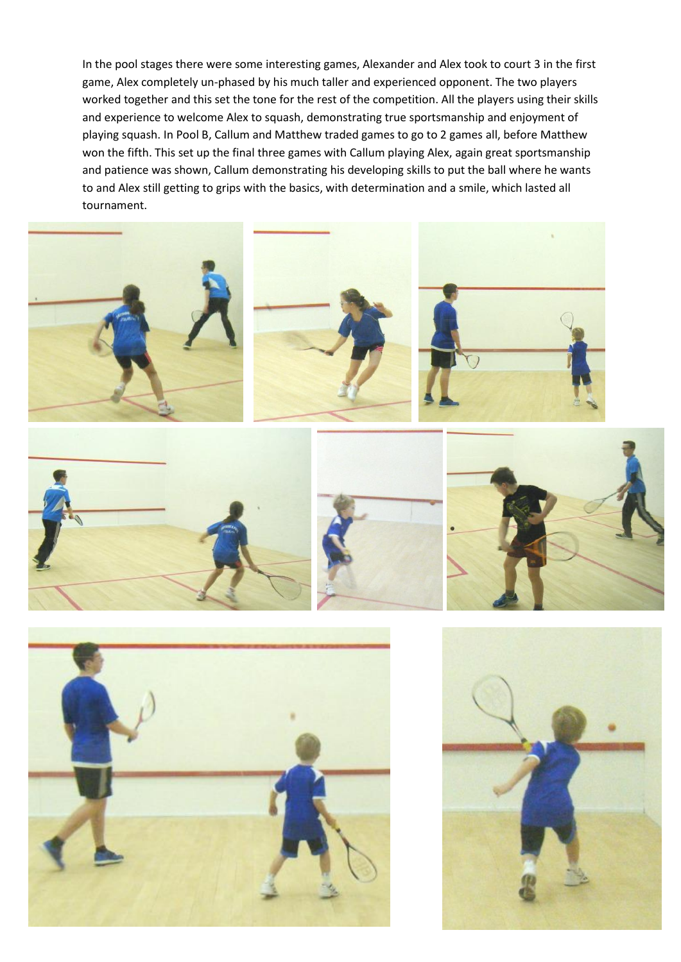In the pool stages there were some interesting games, Alexander and Alex took to court 3 in the first game, Alex completely un-phased by his much taller and experienced opponent. The two players worked together and this set the tone for the rest of the competition. All the players using their skills and experience to welcome Alex to squash, demonstrating true sportsmanship and enjoyment of playing squash. In Pool B, Callum and Matthew traded games to go to 2 games all, before Matthew won the fifth. This set up the final three games with Callum playing Alex, again great sportsmanship and patience was shown, Callum demonstrating his developing skills to put the ball where he wants to and Alex still getting to grips with the basics, with determination and a smile, which lasted all tournament.

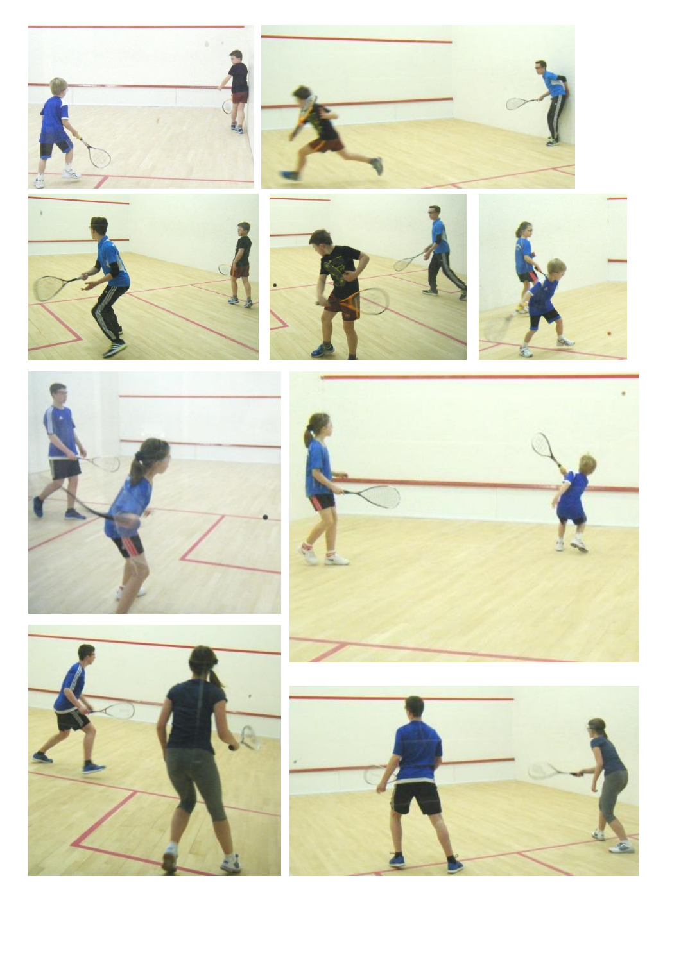